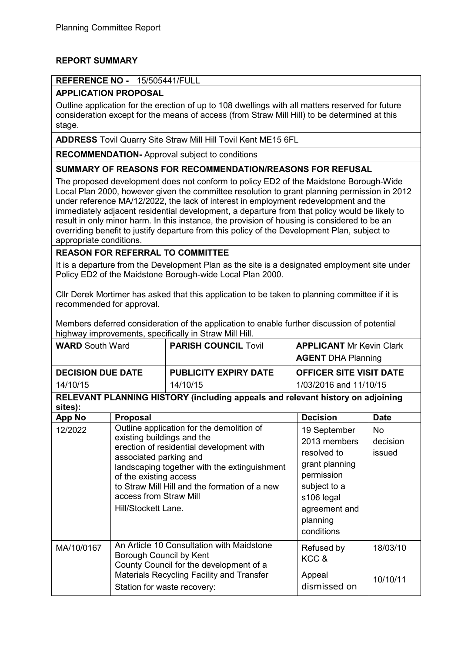# **REPORT SUMMARY**

## **REFERENCE NO -** 15/505441/FULL

# **APPLICATION PROPOSAL**

Outline application for the erection of up to 108 dwellings with all matters reserved for future consideration except for the means of access (from Straw Mill Hill) to be determined at this stage.

**ADDRESS** Tovil Quarry Site Straw Mill Hill Tovil Kent ME15 6FL

**RECOMMENDATION-** Approval subject to conditions

## **SUMMARY OF REASONS FOR RECOMMENDATION/REASONS FOR REFUSAL**

The proposed development does not conform to policy ED2 of the Maidstone Borough-Wide Local Plan 2000, however given the committee resolution to grant planning permission in 2012 under reference MA/12/2022, the lack of interest in employment redevelopment and the immediately adjacent residential development, a departure from that policy would be likely to result in only minor harm. In this instance, the provision of housing is considered to be an overriding benefit to justify departure from this policy of the Development Plan, subject to appropriate conditions.

## **REASON FOR REFERRAL TO COMMITTEE**

It is a departure from the Development Plan as the site is a designated employment site under Policy ED2 of the Maidstone Borough-wide Local Plan 2000.

Cllr Derek Mortimer has asked that this application to be taken to planning committee if it is recommended for approval.

Members deferred consideration of the application to enable further discussion of potential highway improvements, specifically in Straw Mill Hill.

| <b>WARD South Ward</b>                                                                    |                                                                                                                                               | <b>PARISH COUNCIL Tovil</b>  | <b>APPLICANT Mr Kevin Clark</b>                  |                                 |  |  |  |
|-------------------------------------------------------------------------------------------|-----------------------------------------------------------------------------------------------------------------------------------------------|------------------------------|--------------------------------------------------|---------------------------------|--|--|--|
|                                                                                           |                                                                                                                                               |                              | <b>AGENT DHA Planning</b>                        |                                 |  |  |  |
| <b>DECISION DUE DATE</b>                                                                  |                                                                                                                                               | <b>PUBLICITY EXPIRY DATE</b> | <b>OFFICER SITE VISIT DATE</b>                   |                                 |  |  |  |
| 14/10/15                                                                                  |                                                                                                                                               | 14/10/15                     | 1/03/2016 and 11/10/15                           |                                 |  |  |  |
| RELEVANT PLANNING HISTORY (including appeals and relevant history on adjoining<br>sites): |                                                                                                                                               |                              |                                                  |                                 |  |  |  |
| <b>App No</b>                                                                             | <b>Proposal</b>                                                                                                                               |                              | <b>Decision</b>                                  | <b>Date</b>                     |  |  |  |
| 12/2022                                                                                   | Outline application for the demolition of<br>existing buildings and the<br>erection of residential development with<br>associated parking and |                              | 19 September<br>2013 members<br>resolved to<br>. | <b>No</b><br>decision<br>issued |  |  |  |

|            | landscaping together with the extinguishment<br>of the existing access<br>to Straw Mill Hill and the formation of a new<br>access from Straw Mill<br>Hill/Stockett Lane. | grant planning<br>permission<br>subject to a<br>s106 legal<br>agreement and<br>planning<br>conditions |          |
|------------|--------------------------------------------------------------------------------------------------------------------------------------------------------------------------|-------------------------------------------------------------------------------------------------------|----------|
| MA/10/0167 | An Article 10 Consultation with Maidstone<br>Borough Council by Kent<br>County Council for the development of a                                                          | Refused by<br>KCC &                                                                                   | 18/03/10 |
|            | Materials Recycling Facility and Transfer                                                                                                                                | Appeal                                                                                                | 10/10/11 |
|            | Station for waste recovery:                                                                                                                                              | dismissed on                                                                                          |          |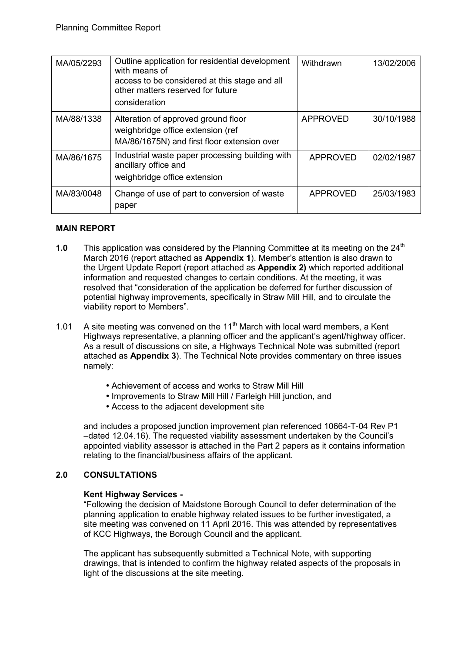| MA/05/2293 | Outline application for residential development<br>with means of<br>access to be considered at this stage and all<br>other matters reserved for future<br>consideration | Withdrawn       | 13/02/2006 |
|------------|-------------------------------------------------------------------------------------------------------------------------------------------------------------------------|-----------------|------------|
| MA/88/1338 | Alteration of approved ground floor<br>weighbridge office extension (ref<br>MA/86/1675N) and first floor extension over                                                 | APPROVED        | 30/10/1988 |
| MA/86/1675 | Industrial waste paper processing building with<br>ancillary office and<br>weighbridge office extension                                                                 | <b>APPROVED</b> | 02/02/1987 |
| MA/83/0048 | Change of use of part to conversion of waste<br>paper                                                                                                                   | <b>APPROVED</b> | 25/03/1983 |

## **MAIN REPORT**

- **1.0** This application was considered by the Planning Committee at its meeting on the 24<sup>th</sup> March 2016 (report attached as **Appendix 1**). Member's attention is also drawn to the Urgent Update Report (report attached as **Appendix 2)** which reported additional information and requested changes to certain conditions. At the meeting, it was resolved that "consideration of the application be deferred for further discussion of potential highway improvements, specifically in Straw Mill Hill, and to circulate the viability report to Members".
- 1.01 A site meeting was convened on the  $11<sup>th</sup>$  March with local ward members, a Kent Highways representative, a planning officer and the applicant's agent/highway officer. As a result of discussions on site, a Highways Technical Note was submitted (report attached as **Appendix 3**). The Technical Note provides commentary on three issues namely:
	- Achievement of access and works to Straw Mill Hill
	- Improvements to Straw Mill Hill / Farleigh Hill junction, and
	- Access to the adjacent development site

and includes a proposed junction improvement plan referenced 10664-T-04 Rev P1 –dated 12.04.16). The requested viability assessment undertaken by the Council's appointed viability assessor is attached in the Part 2 papers as it contains information relating to the financial/business affairs of the applicant.

# **2.0 CONSULTATIONS**

## **Kent Highway Services -**

"Following the decision of Maidstone Borough Council to defer determination of the planning application to enable highway related issues to be further investigated, a site meeting was convened on 11 April 2016. This was attended by representatives of KCC Highways, the Borough Council and the applicant.

The applicant has subsequently submitted a Technical Note, with supporting drawings, that is intended to confirm the highway related aspects of the proposals in light of the discussions at the site meeting.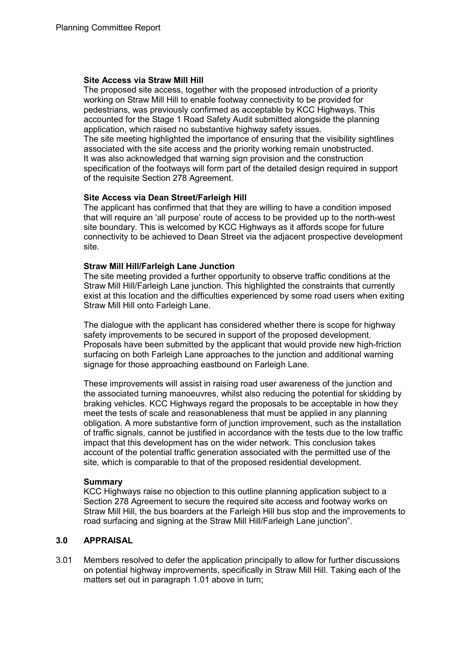#### **Site Access via Straw Mill Hill**

The proposed site access, together with the proposed introduction of a priority working on Straw Mill Hill to enable footway connectivity to be provided for pedestrians, was previously confirmed as acceptable by KCC Highways. This accounted for the Stage 1 Road Safety Audit submitted alongside the planning application, which raised no substantive highway safety issues. The site meeting highlighted the importance of ensuring that the visibility sightlines associated with the site access and the priority working remain unobstructed. It was also acknowledged that warning sign provision and the construction specification of the footways will form part of the detailed design required in support

of the requisite Section 278 Agreement.

**Site Access via Dean Street/Farleigh Hill**  The applicant has confirmed that that they are willing to have a condition imposed that will require an 'all purpose' route of access to be provided up to the north-west site boundary. This is welcomed by KCC Highways as it affords scope for future connectivity to be achieved to Dean Street via the adjacent prospective development site.

### **Straw Mill Hill/Farleigh Lane Junction**

The site meeting provided a further opportunity to observe traffic conditions at the Straw Mill Hill/Farleigh Lane junction. This highlighted the constraints that currently exist at this location and the difficulties experienced by some road users when exiting Straw Mill Hill onto Farleigh Lane.

The dialogue with the applicant has considered whether there is scope for highway safety improvements to be secured in support of the proposed development. Proposals have been submitted by the applicant that would provide new high-friction surfacing on both Farleigh Lane approaches to the junction and additional warning signage for those approaching eastbound on Farleigh Lane.

These improvements will assist in raising road user awareness of the junction and the associated turning manoeuvres, whilst also reducing the potential for skidding by braking vehicles. KCC Highways regard the proposals to be acceptable in how they meet the tests of scale and reasonableness that must be applied in any planning obligation. A more substantive form of junction improvement, such as the installation of traffic signals, cannot be justified in accordance with the tests due to the low traffic impact that this development has on the wider network. This conclusion takes account of the potential traffic generation associated with the permitted use of the site, which is comparable to that of the proposed residential development.

#### **Summary**

KCC Highways raise no objection to this outline planning application subject to a Section 278 Agreement to secure the required site access and footway works on Straw Mill Hill, the bus boarders at the Farleigh Hill bus stop and the improvements to road surfacing and signing at the Straw Mill Hill/Farleigh Lane junction".

## **3.0 APPRAISAL**

3.01 Members resolved to defer the application principally to allow for further discussions on potential highway improvements, specifically in Straw Mill Hill. Taking each of the matters set out in paragraph 1.01 above in turn;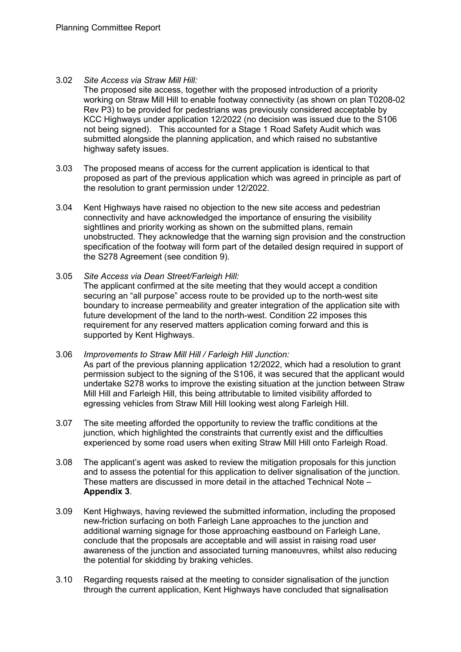3.02 *Site Access via Straw Mill Hill:*

The proposed site access, together with the proposed introduction of a priority working on Straw Mill Hill to enable footway connectivity (as shown on plan T0208-02 Rev P3) to be provided for pedestrians was previously considered acceptable by KCC Highways under application 12/2022 (no decision was issued due to the S106 not being signed). This accounted for a Stage 1 Road Safety Audit which was submitted alongside the planning application, and which raised no substantive highway safety issues.

- 3.03 The proposed means of access for the current application is identical to that proposed as part of the previous application which was agreed in principle as part of the resolution to grant permission under 12/2022.
- 3.04 Kent Highways have raised no objection to the new site access and pedestrian connectivity and have acknowledged the importance of ensuring the visibility sightlines and priority working as shown on the submitted plans, remain unobstructed. They acknowledge that the warning sign provision and the construction specification of the footway will form part of the detailed design required in support of the S278 Agreement (see condition 9).
- 3.05 *Site Access via Dean Street/Farleigh Hill:* The applicant confirmed at the site meeting that they would accept a condition securing an "all purpose" access route to be provided up to the north-west site boundary to increase permeability and greater integration of the application site with future development of the land to the north-west. Condition 22 imposes this requirement for any reserved matters application coming forward and this is supported by Kent Highways.
- 3.06 *Improvements to Straw Mill Hill / Farleigh Hill Junction:*  As part of the previous planning application 12/2022, which had a resolution to grant permission subject to the signing of the S106, it was secured that the applicant would undertake S278 works to improve the existing situation at the junction between Straw Mill Hill and Farleigh Hill, this being attributable to limited visibility afforded to egressing vehicles from Straw Mill Hill looking west along Farleigh Hill.
- 3.07 The site meeting afforded the opportunity to review the traffic conditions at the junction, which highlighted the constraints that currently exist and the difficulties experienced by some road users when exiting Straw Mill Hill onto Farleigh Road.
- 3.08 The applicant's agent was asked to review the mitigation proposals for this junction and to assess the potential for this application to deliver signalisation of the junction. These matters are discussed in more detail in the attached Technical Note – **Appendix 3**.
- 3.09 Kent Highways, having reviewed the submitted information, including the proposed new-friction surfacing on both Farleigh Lane approaches to the junction and additional warning signage for those approaching eastbound on Farleigh Lane, conclude that the proposals are acceptable and will assist in raising road user awareness of the junction and associated turning manoeuvres, whilst also reducing the potential for skidding by braking vehicles.
- 3.10 Regarding requests raised at the meeting to consider signalisation of the junction through the current application, Kent Highways have concluded that signalisation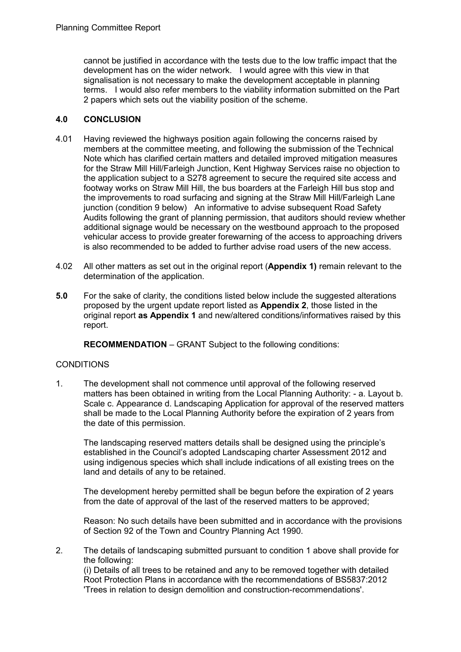cannot be justified in accordance with the tests due to the low traffic impact that the development has on the wider network. I would agree with this view in that signalisation is not necessary to make the development acceptable in planning terms. I would also refer members to the viability information submitted on the Part 2 papers which sets out the viability position of the scheme.

## **4.0 CONCLUSION**

- 4.01 Having reviewed the highways position again following the concerns raised by members at the committee meeting, and following the submission of the Technical Note which has clarified certain matters and detailed improved mitigation measures for the Straw Mill Hill/Farleigh Junction, Kent Highway Services raise no objection to the application subject to a S278 agreement to secure the required site access and footway works on Straw Mill Hill, the bus boarders at the Farleigh Hill bus stop and the improvements to road surfacing and signing at the Straw Mill Hill/Farleigh Lane junction (condition 9 below) An informative to advise subsequent Road Safety Audits following the grant of planning permission, that auditors should review whether additional signage would be necessary on the westbound approach to the proposed vehicular access to provide greater forewarning of the access to approaching drivers is also recommended to be added to further advise road users of the new access.
- 4.02 All other matters as set out in the original report (**Appendix 1)** remain relevant to the determination of the application.
- **5.0** For the sake of clarity, the conditions listed below include the suggested alterations proposed by the urgent update report listed as **Appendix 2**, those listed in the original report **as Appendix 1** and new/altered conditions/informatives raised by this report.

 **RECOMMENDATION** – GRANT Subject to the following conditions:

# **CONDITIONS**

1. The development shall not commence until approval of the following reserved matters has been obtained in writing from the Local Planning Authority: - a. Layout b. Scale c. Appearance d. Landscaping Application for approval of the reserved matters shall be made to the Local Planning Authority before the expiration of 2 years from the date of this permission.

The landscaping reserved matters details shall be designed using the principle's established in the Council's adopted Landscaping charter Assessment 2012 and using indigenous species which shall include indications of all existing trees on the land and details of any to be retained.

The development hereby permitted shall be begun before the expiration of 2 years from the date of approval of the last of the reserved matters to be approved;

Reason: No such details have been submitted and in accordance with the provisions of Section 92 of the Town and Country Planning Act 1990.

2. The details of landscaping submitted pursuant to condition 1 above shall provide for the following: (i) Details of all trees to be retained and any to be removed together with detailed Root Protection Plans in accordance with the recommendations of BS5837:2012 'Trees in relation to design demolition and construction-recommendations'.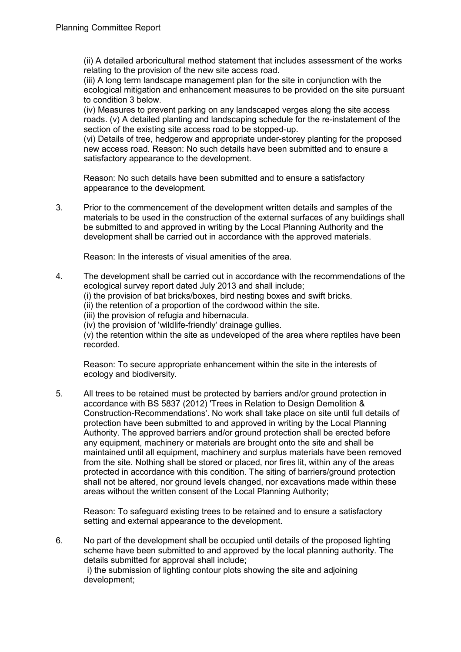(ii) A detailed arboricultural method statement that includes assessment of the works relating to the provision of the new site access road.

(iii) A long term landscape management plan for the site in conjunction with the ecological mitigation and enhancement measures to be provided on the site pursuant to condition 3 below.

(iv) Measures to prevent parking on any landscaped verges along the site access roads. (v) A detailed planting and landscaping schedule for the re-instatement of the section of the existing site access road to be stopped-up.

(vi) Details of tree, hedgerow and appropriate under-storey planting for the proposed new access road. Reason: No such details have been submitted and to ensure a satisfactory appearance to the development.

Reason: No such details have been submitted and to ensure a satisfactory appearance to the development.

3. Prior to the commencement of the development written details and samples of the materials to be used in the construction of the external surfaces of any buildings shall be submitted to and approved in writing by the Local Planning Authority and the development shall be carried out in accordance with the approved materials.

Reason: In the interests of visual amenities of the area.

4. The development shall be carried out in accordance with the recommendations of the ecological survey report dated July 2013 and shall include;

(i) the provision of bat bricks/boxes, bird nesting boxes and swift bricks.

(ii) the retention of a proportion of the cordwood within the site.

(iii) the provision of refugia and hibernacula.

(iv) the provision of 'wildlife-friendly' drainage gullies.

(v) the retention within the site as undeveloped of the area where reptiles have been recorded.

Reason: To secure appropriate enhancement within the site in the interests of ecology and biodiversity.

5. All trees to be retained must be protected by barriers and/or ground protection in accordance with BS 5837 (2012) 'Trees in Relation to Design Demolition & Construction-Recommendations'. No work shall take place on site until full details of protection have been submitted to and approved in writing by the Local Planning Authority. The approved barriers and/or ground protection shall be erected before any equipment, machinery or materials are brought onto the site and shall be maintained until all equipment, machinery and surplus materials have been removed from the site. Nothing shall be stored or placed, nor fires lit, within any of the areas protected in accordance with this condition. The siting of barriers/ground protection shall not be altered, nor ground levels changed, nor excavations made within these areas without the written consent of the Local Planning Authority;

Reason: To safeguard existing trees to be retained and to ensure a satisfactory setting and external appearance to the development.

6. No part of the development shall be occupied until details of the proposed lighting scheme have been submitted to and approved by the local planning authority. The details submitted for approval shall include; i) the submission of lighting contour plots showing the site and adjoining

development;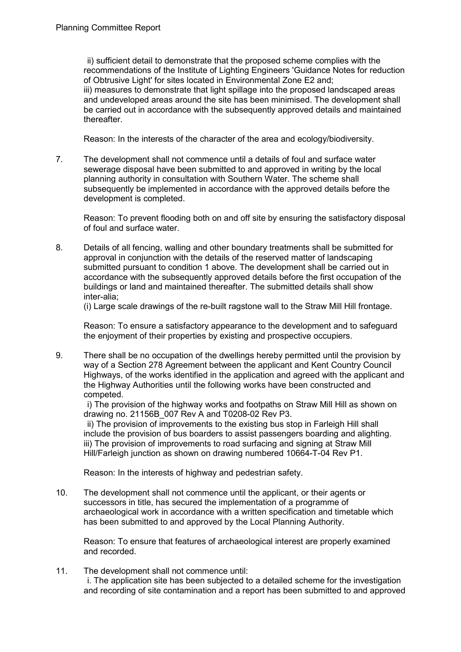ii) sufficient detail to demonstrate that the proposed scheme complies with the recommendations of the Institute of Lighting Engineers 'Guidance Notes for reduction of Obtrusive Light' for sites located in Environmental Zone E2 and; iii) measures to demonstrate that light spillage into the proposed landscaped areas and undeveloped areas around the site has been minimised. The development shall be carried out in accordance with the subsequently approved details and maintained thereafter.

Reason: In the interests of the character of the area and ecology/biodiversity.

7. The development shall not commence until a details of foul and surface water sewerage disposal have been submitted to and approved in writing by the local planning authority in consultation with Southern Water. The scheme shall subsequently be implemented in accordance with the approved details before the development is completed.

Reason: To prevent flooding both on and off site by ensuring the satisfactory disposal of foul and surface water.

8. Details of all fencing, walling and other boundary treatments shall be submitted for approval in conjunction with the details of the reserved matter of landscaping submitted pursuant to condition 1 above. The development shall be carried out in accordance with the subsequently approved details before the first occupation of the buildings or land and maintained thereafter. The submitted details shall show inter-alia;

(i) Large scale drawings of the re-built ragstone wall to the Straw Mill Hill frontage.

Reason: To ensure a satisfactory appearance to the development and to safeguard the enjoyment of their properties by existing and prospective occupiers.

9. There shall be no occupation of the dwellings hereby permitted until the provision by way of a Section 278 Agreement between the applicant and Kent Country Council Highways, of the works identified in the application and agreed with the applicant and the Highway Authorities until the following works have been constructed and competed.

i) The provision of the highway works and footpaths on Straw Mill Hill as shown on drawing no. 21156B\_007 Rev A and T0208-02 Rev P3.

ii) The provision of improvements to the existing bus stop in Farleigh Hill shall include the provision of bus boarders to assist passengers boarding and alighting. iii) The provision of improvements to road surfacing and signing at Straw Mill Hill/Farleigh junction as shown on drawing numbered 10664-T-04 Rev P1.

Reason: In the interests of highway and pedestrian safety.

10. The development shall not commence until the applicant, or their agents or successors in title, has secured the implementation of a programme of archaeological work in accordance with a written specification and timetable which has been submitted to and approved by the Local Planning Authority.

Reason: To ensure that features of archaeological interest are properly examined and recorded.

11. The development shall not commence until:

i. The application site has been subjected to a detailed scheme for the investigation and recording of site contamination and a report has been submitted to and approved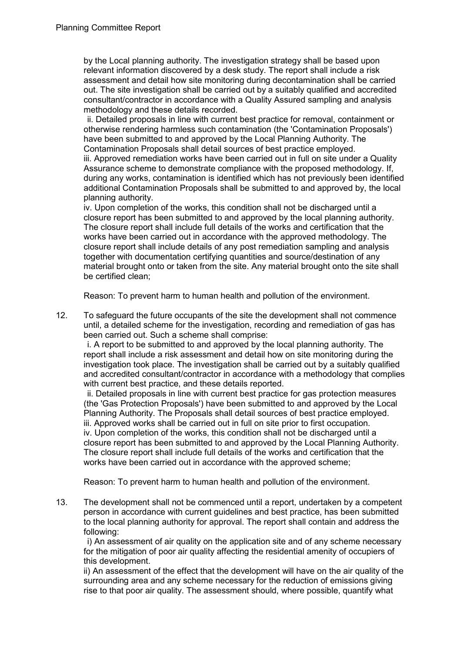by the Local planning authority. The investigation strategy shall be based upon relevant information discovered by a desk study. The report shall include a risk assessment and detail how site monitoring during decontamination shall be carried out. The site investigation shall be carried out by a suitably qualified and accredited consultant/contractor in accordance with a Quality Assured sampling and analysis methodology and these details recorded.

ii. Detailed proposals in line with current best practice for removal, containment or otherwise rendering harmless such contamination (the 'Contamination Proposals') have been submitted to and approved by the Local Planning Authority. The Contamination Proposals shall detail sources of best practice employed. iii. Approved remediation works have been carried out in full on site under a Quality Assurance scheme to demonstrate compliance with the proposed methodology. If, during any works, contamination is identified which has not previously been identified additional Contamination Proposals shall be submitted to and approved by, the local planning authority.

iv. Upon completion of the works, this condition shall not be discharged until a closure report has been submitted to and approved by the local planning authority. The closure report shall include full details of the works and certification that the works have been carried out in accordance with the approved methodology. The closure report shall include details of any post remediation sampling and analysis together with documentation certifying quantities and source/destination of any material brought onto or taken from the site. Any material brought onto the site shall be certified clean;

Reason: To prevent harm to human health and pollution of the environment.

12. To safeguard the future occupants of the site the development shall not commence until, a detailed scheme for the investigation, recording and remediation of gas has been carried out. Such a scheme shall comprise:

i. A report to be submitted to and approved by the local planning authority. The report shall include a risk assessment and detail how on site monitoring during the investigation took place. The investigation shall be carried out by a suitably qualified and accredited consultant/contractor in accordance with a methodology that complies with current best practice, and these details reported.

ii. Detailed proposals in line with current best practice for gas protection measures (the 'Gas Protection Proposals') have been submitted to and approved by the Local Planning Authority. The Proposals shall detail sources of best practice employed. iii. Approved works shall be carried out in full on site prior to first occupation. iv. Upon completion of the works, this condition shall not be discharged until a closure report has been submitted to and approved by the Local Planning Authority. The closure report shall include full details of the works and certification that the works have been carried out in accordance with the approved scheme;

Reason: To prevent harm to human health and pollution of the environment.

13. The development shall not be commenced until a report, undertaken by a competent person in accordance with current guidelines and best practice, has been submitted to the local planning authority for approval. The report shall contain and address the following:

i) An assessment of air quality on the application site and of any scheme necessary for the mitigation of poor air quality affecting the residential amenity of occupiers of this development.

ii) An assessment of the effect that the development will have on the air quality of the surrounding area and any scheme necessary for the reduction of emissions giving rise to that poor air quality. The assessment should, where possible, quantify what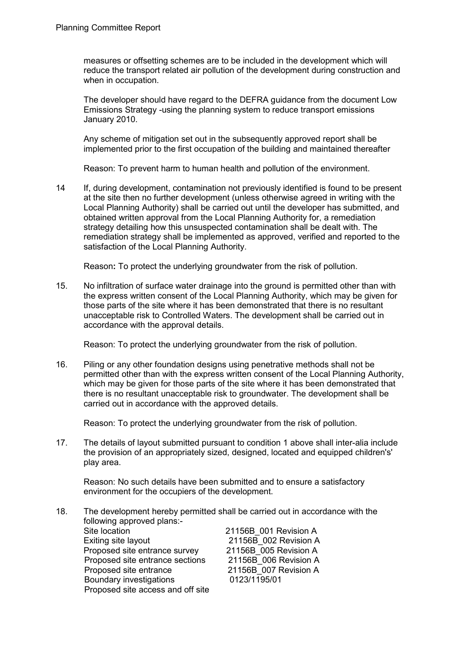measures or offsetting schemes are to be included in the development which will reduce the transport related air pollution of the development during construction and when in occupation.

The developer should have regard to the DEFRA guidance from the document Low Emissions Strategy -using the planning system to reduce transport emissions January 2010.

Any scheme of mitigation set out in the subsequently approved report shall be implemented prior to the first occupation of the building and maintained thereafter

Reason: To prevent harm to human health and pollution of the environment.

14 If, during development, contamination not previously identified is found to be present at the site then no further development (unless otherwise agreed in writing with the Local Planning Authority) shall be carried out until the developer has submitted, and obtained written approval from the Local Planning Authority for, a remediation strategy detailing how this unsuspected contamination shall be dealt with. The remediation strategy shall be implemented as approved, verified and reported to the satisfaction of the Local Planning Authority.

Reason**:** To protect the underlying groundwater from the risk of pollution.

15. No infiltration of surface water drainage into the ground is permitted other than with the express written consent of the Local Planning Authority, which may be given for those parts of the site where it has been demonstrated that there is no resultant unacceptable risk to Controlled Waters. The development shall be carried out in accordance with the approval details.

Reason: To protect the underlying groundwater from the risk of pollution.

16. Piling or any other foundation designs using penetrative methods shall not be permitted other than with the express written consent of the Local Planning Authority, which may be given for those parts of the site where it has been demonstrated that there is no resultant unacceptable risk to groundwater. The development shall be carried out in accordance with the approved details.

Reason: To protect the underlying groundwater from the risk of pollution.

17. The details of layout submitted pursuant to condition 1 above shall inter-alia include the provision of an appropriately sized, designed, located and equipped children's' play area.

Reason: No such details have been submitted and to ensure a satisfactory environment for the occupiers of the development.

18. The development hereby permitted shall be carried out in accordance with the following approved plans:- Site location 21156B 001 Revision A Exiting site layout 21156B 002 Revision A Proposed site entrance survey 21156B\_005 Revision A<br>Proposed site entrance sections 21156B 006 Revision A Proposed site entrance sections Proposed site entrance <br>
Boundary investigations<br>
21156B\_007 Revision A<br>
0123/1195/01 Boundary investigations Proposed site access and off site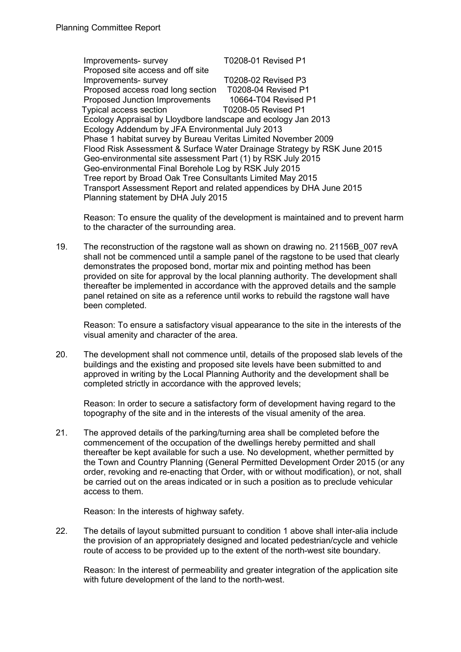Improvements- survey T0208-01 Revised P1 Proposed site access and off site Improvements- survey T0208-02 Revised P3 Proposed access road long section T0208-04 Revised P1 Proposed Junction Improvements 10664-T04 Revised P1 Typical access section T0208-05 Revised P1 Ecology Appraisal by Lloydbore landscape and ecology Jan 2013 Ecology Addendum by JFA Environmental July 2013 Phase 1 habitat survey by Bureau Veritas Limited November 2009 Flood Risk Assessment & Surface Water Drainage Strategy by RSK June 2015 Geo-environmental site assessment Part (1) by RSK July 2015 Geo-environmental Final Borehole Log by RSK July 2015 Tree report by Broad Oak Tree Consultants Limited May 2015 Transport Assessment Report and related appendices by DHA June 2015 Planning statement by DHA July 2015

Reason: To ensure the quality of the development is maintained and to prevent harm to the character of the surrounding area.

19. The reconstruction of the ragstone wall as shown on drawing no. 21156B\_007 revA shall not be commenced until a sample panel of the ragstone to be used that clearly demonstrates the proposed bond, mortar mix and pointing method has been provided on site for approval by the local planning authority. The development shall thereafter be implemented in accordance with the approved details and the sample panel retained on site as a reference until works to rebuild the ragstone wall have been completed.

Reason: To ensure a satisfactory visual appearance to the site in the interests of the visual amenity and character of the area.

20. The development shall not commence until, details of the proposed slab levels of the buildings and the existing and proposed site levels have been submitted to and approved in writing by the Local Planning Authority and the development shall be completed strictly in accordance with the approved levels;

Reason: In order to secure a satisfactory form of development having regard to the topography of the site and in the interests of the visual amenity of the area.

21. The approved details of the parking/turning area shall be completed before the commencement of the occupation of the dwellings hereby permitted and shall thereafter be kept available for such a use. No development, whether permitted by the Town and Country Planning (General Permitted Development Order 2015 (or any order, revoking and re-enacting that Order, with or without modification), or not, shall be carried out on the areas indicated or in such a position as to preclude vehicular access to them.

Reason: In the interests of highway safety.

22. The details of layout submitted pursuant to condition 1 above shall inter-alia include the provision of an appropriately designed and located pedestrian/cycle and vehicle route of access to be provided up to the extent of the north-west site boundary.

Reason: In the interest of permeability and greater integration of the application site with future development of the land to the north-west.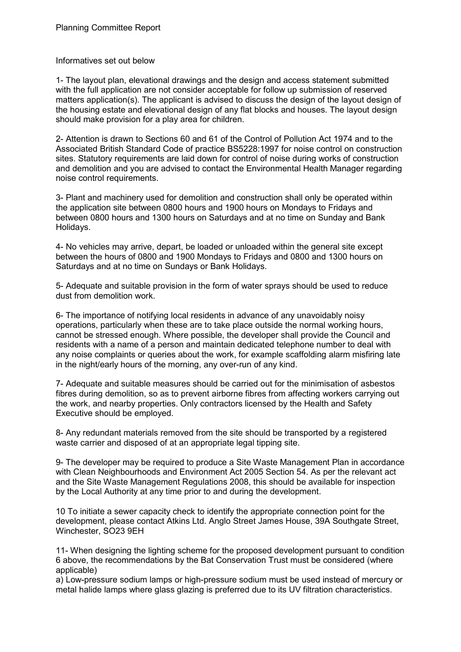### Informatives set out below

1- The layout plan, elevational drawings and the design and access statement submitted with the full application are not consider acceptable for follow up submission of reserved matters application(s). The applicant is advised to discuss the design of the layout design of the housing estate and elevational design of any flat blocks and houses. The layout design should make provision for a play area for children.

2- Attention is drawn to Sections 60 and 61 of the Control of Pollution Act 1974 and to the Associated British Standard Code of practice BS5228:1997 for noise control on construction sites. Statutory requirements are laid down for control of noise during works of construction and demolition and you are advised to contact the Environmental Health Manager regarding noise control requirements.

3- Plant and machinery used for demolition and construction shall only be operated within the application site between 0800 hours and 1900 hours on Mondays to Fridays and between 0800 hours and 1300 hours on Saturdays and at no time on Sunday and Bank Holidays.

4- No vehicles may arrive, depart, be loaded or unloaded within the general site except between the hours of 0800 and 1900 Mondays to Fridays and 0800 and 1300 hours on Saturdays and at no time on Sundays or Bank Holidays.

5- Adequate and suitable provision in the form of water sprays should be used to reduce dust from demolition work.

6- The importance of notifying local residents in advance of any unavoidably noisy operations, particularly when these are to take place outside the normal working hours, cannot be stressed enough. Where possible, the developer shall provide the Council and residents with a name of a person and maintain dedicated telephone number to deal with any noise complaints or queries about the work, for example scaffolding alarm misfiring late in the night/early hours of the morning, any over-run of any kind.

7- Adequate and suitable measures should be carried out for the minimisation of asbestos fibres during demolition, so as to prevent airborne fibres from affecting workers carrying out the work, and nearby properties. Only contractors licensed by the Health and Safety Executive should be employed.

8- Any redundant materials removed from the site should be transported by a registered waste carrier and disposed of at an appropriate legal tipping site.

9- The developer may be required to produce a Site Waste Management Plan in accordance with Clean Neighbourhoods and Environment Act 2005 Section 54. As per the relevant act and the Site Waste Management Regulations 2008, this should be available for inspection by the Local Authority at any time prior to and during the development.

10 To initiate a sewer capacity check to identify the appropriate connection point for the development, please contact Atkins Ltd. Anglo Street James House, 39A Southgate Street, Winchester, SO23 9EH

11- When designing the lighting scheme for the proposed development pursuant to condition 6 above, the recommendations by the Bat Conservation Trust must be considered (where applicable)

a) Low-pressure sodium lamps or high-pressure sodium must be used instead of mercury or metal halide lamps where glass glazing is preferred due to its UV filtration characteristics.